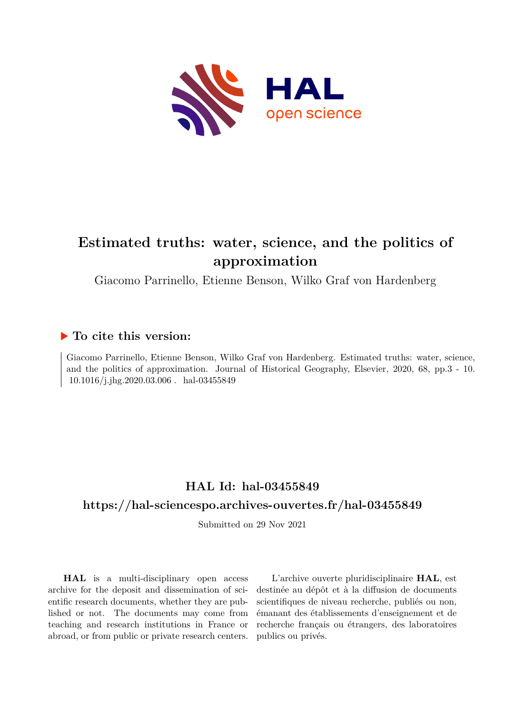

# **Estimated truths: water, science, and the politics of approximation**

Giacomo Parrinello, Etienne Benson, Wilko Graf von Hardenberg

### **To cite this version:**

Giacomo Parrinello, Etienne Benson, Wilko Graf von Hardenberg. Estimated truths: water, science, and the politics of approximation. Journal of Historical Geography, Elsevier, 2020, 68, pp.3 - 10.  $10.1016/j.jhg.2020.03.006$ . hal-03455849

## **HAL Id: hal-03455849**

### **<https://hal-sciencespo.archives-ouvertes.fr/hal-03455849>**

Submitted on 29 Nov 2021

**HAL** is a multi-disciplinary open access archive for the deposit and dissemination of scientific research documents, whether they are published or not. The documents may come from teaching and research institutions in France or abroad, or from public or private research centers.

L'archive ouverte pluridisciplinaire **HAL**, est destinée au dépôt et à la diffusion de documents scientifiques de niveau recherche, publiés ou non, émanant des établissements d'enseignement et de recherche français ou étrangers, des laboratoires publics ou privés.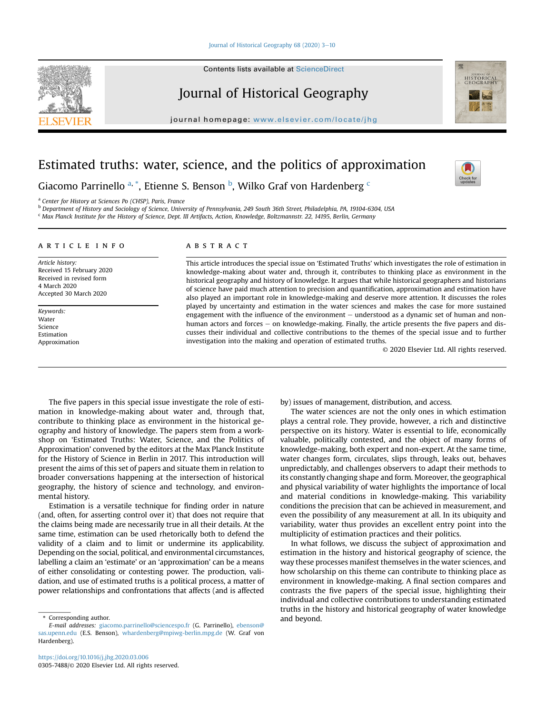#### Iournal of Historical Geography 68 (2020) 3-[10](https://doi.org/10.1016/j.jhg.2020.03.006)

Contents lists available at ScienceDirect

### Journal of Historical Geography

journal homepage: <www.elsevier.com/locate/jhg>

## Estimated truths: water, science, and the politics of approximation

Giacomo Parrinello <sup>a, \*</sup>, Etienne S. Benson <sup>b</sup>, Wilko Graf von Hardenberg <sup>c</sup>

<sup>a</sup> Center for History at Sciences Po (CHSP), Paris, France

<sup>b</sup> Department of History and Sociology of Science, University of Pennsylvania, 249 South 36th Street, Philadelphia, PA, 19104-6304, USA

<sup>c</sup> Max Planck Institute for the History of Science, Dept. III Artifacts, Action, Knowledge, Boltzmannstr. 22, 14195, Berlin, Germany

#### article info

Article history: Received 15 February 2020 Received in revised form 4 March 2020 Accepted 30 March 2020

Keywords: Water Science Estimation Approximation

#### **ABSTRACT**

This article introduces the special issue on 'Estimated Truths' which investigates the role of estimation in knowledge-making about water and, through it, contributes to thinking place as environment in the historical geography and history of knowledge. It argues that while historical geographers and historians of science have paid much attention to precision and quantification, approximation and estimation have also played an important role in knowledge-making and deserve more attention. It discusses the roles played by uncertainty and estimation in the water sciences and makes the case for more sustained engagement with the influence of the environment  $-$  understood as a dynamic set of human and nonhuman actors and forces  $-$  on knowledge-making. Finally, the article presents the five papers and discusses their individual and collective contributions to the themes of the special issue and to further investigation into the making and operation of estimated truths.

© 2020 Elsevier Ltd. All rights reserved.

The five papers in this special issue investigate the role of estimation in knowledge-making about water and, through that, contribute to thinking place as environment in the historical geography and history of knowledge. The papers stem from a workshop on 'Estimated Truths: Water, Science, and the Politics of Approximation' convened by the editors at the Max Planck Institute for the History of Science in Berlin in 2017. This introduction will present the aims of this set of papers and situate them in relation to broader conversations happening at the intersection of historical geography, the history of science and technology, and environmental history.

Estimation is a versatile technique for finding order in nature (and, often, for asserting control over it) that does not require that the claims being made are necessarily true in all their details. At the same time, estimation can be used rhetorically both to defend the validity of a claim and to limit or undermine its applicability. Depending on the social, political, and environmental circumstances, labelling a claim an 'estimate' or an 'approximation' can be a means of either consolidating or contesting power. The production, validation, and use of estimated truths is a political process, a matter of power relationships and confrontations that affects (and is affected

Corresponding author. **Example 20** and beyond.

by) issues of management, distribution, and access.

The water sciences are not the only ones in which estimation plays a central role. They provide, however, a rich and distinctive perspective on its history. Water is essential to life, economically valuable, politically contested, and the object of many forms of knowledge-making, both expert and non-expert. At the same time, water changes form, circulates, slips through, leaks out, behaves unpredictably, and challenges observers to adapt their methods to its constantly changing shape and form. Moreover, the geographical and physical variability of water highlights the importance of local and material conditions in knowledge-making. This variability conditions the precision that can be achieved in measurement, and even the possibility of any measurement at all. In its ubiquity and variability, water thus provides an excellent entry point into the multiplicity of estimation practices and their politics.

In what follows, we discuss the subject of approximation and estimation in the history and historical geography of science, the way these processes manifest themselves in the water sciences, and how scholarship on this theme can contribute to thinking place as environment in knowledge-making. A final section compares and contrasts the five papers of the special issue, highlighting their individual and collective contributions to understanding estimated truths in the history and historical geography of water knowledge







E-mail addresses: [giacomo.parrinello@sciencespo.fr](mailto:giacomo.parrinello@sciencespo.fr) (G. Parrinello), [ebenson@](mailto:ebenson@sas.upenn.edu) [sas.upenn.edu](mailto:ebenson@sas.upenn.edu) (E.S. Benson), [whardenberg@mpiwg-berlin.mpg.de](mailto:whardenberg@mpiwg-berlin.mpg.de) (W. Graf von Hardenberg).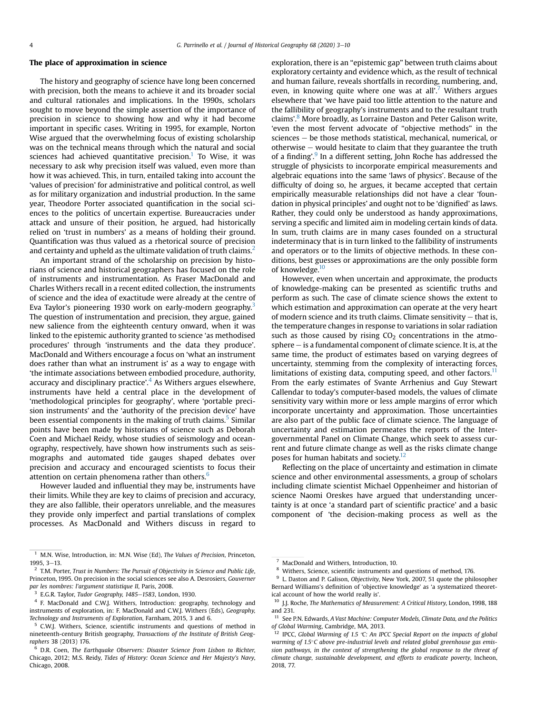#### The place of approximation in science

The history and geography of science have long been concerned with precision, both the means to achieve it and its broader social and cultural rationales and implications. In the 1990s, scholars sought to move beyond the simple assertion of the importance of precision in science to showing how and why it had become important in specific cases. Writing in 1995, for example, Norton Wise argued that the overwhelming focus of existing scholarship was on the technical means through which the natural and social sciences had achieved quantitative precision.<sup>1</sup> To Wise, it was necessary to ask why precision itself was valued, even more than how it was achieved. This, in turn, entailed taking into account the 'values of precision' for administrative and political control, as well as for military organization and industrial production. In the same year, Theodore Porter associated quantification in the social sciences to the politics of uncertain expertise. Bureaucracies under attack and unsure of their position, he argued, had historically relied on 'trust in numbers' as a means of holding their ground. Quantification was thus valued as a rhetorical source of precision and certainty and upheld as the ultimate validation of truth claims.<sup>2</sup>

An important strand of the scholarship on precision by historians of science and historical geographers has focused on the role of instruments and instrumentation. As Fraser MacDonald and Charles Withers recall in a recent edited collection, the instruments of science and the idea of exactitude were already at the centre of Eva Taylor's pioneering 1930 work on early-modern geography.<sup>3</sup> The question of instrumentation and precision, they argue, gained new salience from the eighteenth century onward, when it was linked to the epistemic authority granted to science 'as methodised procedures' through 'instruments and the data they produce'. MacDonald and Withers encourage a focus on 'what an instrument does rather than what an instrument is' as a way to engage with 'the intimate associations between embodied procedure, authority, accuracy and disciplinary practice'.<sup>4</sup> As Withers argues elsewhere, instruments have held a central place in the development of 'methodological principles for geography', where 'portable precision instruments' and the 'authority of the precision device' have been essential components in the making of truth claims.<sup>5</sup> Similar points have been made by historians of science such as Deborah Coen and Michael Reidy, whose studies of seismology and oceanography, respectively, have shown how instruments such as seismographs and automated tide gauges shaped debates over precision and accuracy and encouraged scientists to focus their attention on certain phenomena rather than others.<sup>6</sup>

However lauded and influential they may be, instruments have their limits. While they are key to claims of precision and accuracy, they are also fallible, their operators unreliable, and the measures they provide only imperfect and partial translations of complex processes. As MacDonald and Withers discuss in regard to exploration, there is an "epistemic gap" between truth claims about exploratory certainty and evidence which, as the result of technical and human failure, reveals shortfalls in recording, numbering, and, even, in knowing quite where one was at all'.<sup>7</sup> Withers argues elsewhere that 'we have paid too little attention to the nature and the fallibility of geography's instruments and to the resultant truth claims'. <sup>8</sup> More broadly, as Lorraine Daston and Peter Galison write, 'even the most fervent advocate of "objective methods" in the  $sciences - be those methods statistical, mechanical, numerical, or$ otherwise  $-$  would hesitate to claim that they guarantee the truth of a finding'.<sup>9</sup> In a different setting, John Roche has addressed the struggle of physicists to incorporate empirical measurements and algebraic equations into the same 'laws of physics'. Because of the difficulty of doing so, he argues, it became accepted that certain empirically measurable relationships did not have a clear 'foundation in physical principles' and ought not to be 'dignified' as laws. Rather, they could only be understood as handy approximations, serving a specific and limited aim in modeling certain kinds of data. In sum, truth claims are in many cases founded on a structural indeterminacy that is in turn linked to the fallibility of instruments and operators or to the limits of objective methods. In these conditions, best guesses or approximations are the only possible form of knowledge.<sup>10</sup>

However, even when uncertain and approximate, the products of knowledge-making can be presented as scientific truths and perform as such. The case of climate science shows the extent to which estimation and approximation can operate at the very heart of modern science and its truth claims. Climate sensitivity  $-$  that is, the temperature changes in response to variations in solar radiation such as those caused by rising  $CO<sub>2</sub>$  concentrations in the atmo $sphere - is a fundamental component of climate science. It is, at the$ same time, the product of estimates based on varying degrees of uncertainty, stemming from the complexity of interacting forces, limitations of existing data, computing speed, and other factors. $<sup>11</sup>$ </sup> From the early estimates of Svante Arrhenius and Guy Stewart Callendar to today's computer-based models, the values of climate sensitivity vary within more or less ample margins of error which incorporate uncertainty and approximation. Those uncertainties are also part of the public face of climate science. The language of uncertainty and estimation permeates the reports of the Intergovernmental Panel on Climate Change, which seek to assess current and future climate change as well as the risks climate change poses for human habitats and society.<sup>12</sup>

Reflecting on the place of uncertainty and estimation in climate science and other environmental assessments, a group of scholars including climate scientist Michael Oppenheimer and historian of science Naomi Oreskes have argued that understanding uncertainty is at once 'a standard part of scientific practice' and a basic component of 'the decision-making process as well as the

 $1$  M.N. Wise, Introduction, in: M.N. Wise (Ed), The Values of Precision, Princeton,  $1995, 3-13.$ 

 $2$  T.M. Porter, Trust in Numbers: The Pursuit of Objectivity in Science and Public Life, Princeton, 1995. On precision in the social sciences see also A. Desrosiers, Gouverner par les nombres: l'argument statistique II, Paris, 2008.

 $3$  E.G.R. Taylor, Tudor Geography, 1485-1583, London, 1930.

<sup>4</sup> F. MacDonald and C.W.J. Withers, Introduction: geography, technology and instruments of exploration, in: F. MacDonald and C.W.J. Withers (Eds), Geography, Technology and Instruments of Exploration, Farnham, 2015, 3 and 6.

<sup>5</sup> C.W.J. Withers, Science, scientific instruments and questions of method in nineteenth-century British geography, Transactions of the Institute of British Geographers 38 (2013) 176.

<sup>6</sup> D.R. Coen, The Earthquake Observers: Disaster Science from Lisbon to Richter, Chicago, 2012; M.S. Reidy, Tides of History: Ocean Science and Her Majesty's Navy, Chicago, 2008.

<sup>7</sup> MacDonald and Withers, Introduction, 10.

<sup>8</sup> Withers, Science, scientific instruments and questions of method, 176.

<sup>&</sup>lt;sup>9</sup> L. Daston and P. Galison, Objectivity, New York, 2007, 51 quote the philosopher Bernard Williams's definition of 'objective knowledge' as 'a systematized theoretical account of how the world really is'.

<sup>&</sup>lt;sup>10</sup> J.J. Roche, The Mathematics of Measurement: A Critical History, London, 1998, 188 and 231.

 $11$  See P.N. Edwards, A Vast Machine: Computer Models, Climate Data, and the Politics of Global Warming, Cambridge, MA, 2013.

 $12$  IPCC, Global Warming of 1.5 °C: An IPCC Special Report on the impacts of global warming of 1.5°C above pre-industrial levels and related global greenhouse gas emission pathways, in the context of strengthening the global response to the threat of climate change, sustainable development, and efforts to eradicate poverty, Incheon, 2018, 77.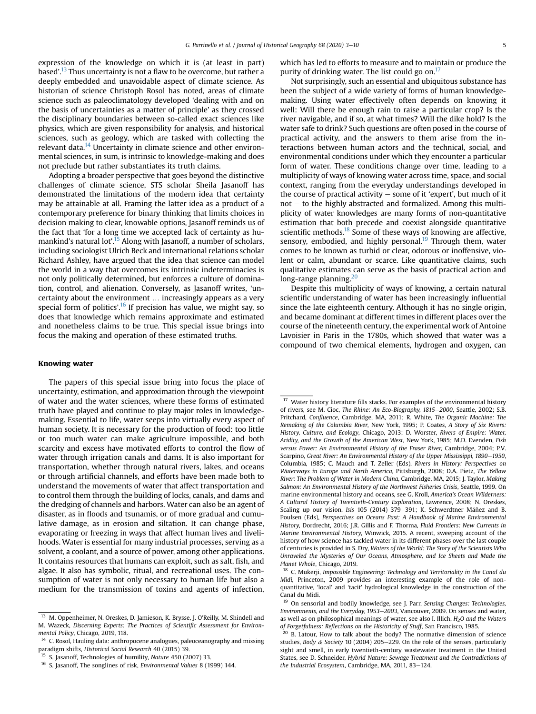expression of the knowledge on which it is (at least in part) based'.<sup>13</sup> Thus uncertainty is not a flaw to be overcome, but rather a deeply embedded and unavoidable aspect of climate science. As historian of science Christoph Rosol has noted, areas of climate science such as paleoclimatology developed 'dealing with and on the basis of uncertainties as a matter of principle' as they crossed the disciplinary boundaries between so-called exact sciences like physics, which are given responsibility for analysis, and historical sciences, such as geology, which are tasked with collecting the relevant data.<sup>14</sup> Uncertainty in climate science and other environmental sciences, in sum, is intrinsic to knowledge-making and does not preclude but rather substantiates its truth claims.

Adopting a broader perspective that goes beyond the distinctive challenges of climate science, STS scholar Sheila Jasanoff has demonstrated the limitations of the modern idea that certainty may be attainable at all. Framing the latter idea as a product of a contemporary preference for binary thinking that limits choices in decision making to clear, knowable options, Jasanoff reminds us of the fact that 'for a long time we accepted lack of certainty as humankind's natural lot'.<sup>15</sup> Along with Jasanoff, a number of scholars, including sociologist Ulrich Beck and international relations scholar Richard Ashley, have argued that the idea that science can model the world in a way that overcomes its intrinsic indeterminacies is not only politically determined, but enforces a culture of domination, control, and alienation. Conversely, as Jasanoff writes, 'uncertainty about the environment … increasingly appears as a very special form of politics'.<sup>16</sup> If precision has value, we might say, so does that knowledge which remains approximate and estimated and nonetheless claims to be true. This special issue brings into focus the making and operation of these estimated truths.

#### Knowing water

The papers of this special issue bring into focus the place of uncertainty, estimation, and approximation through the viewpoint of water and the water sciences, where these forms of estimated truth have played and continue to play major roles in knowledgemaking. Essential to life, water seeps into virtually every aspect of human society. It is necessary for the production of food: too little or too much water can make agriculture impossible, and both scarcity and excess have motivated efforts to control the flow of water through irrigation canals and dams. It is also important for transportation, whether through natural rivers, lakes, and oceans or through artificial channels, and efforts have been made both to understand the movements of water that affect transportation and to control them through the building of locks, canals, and dams and the dredging of channels and harbors. Water can also be an agent of disaster, as in floods and tsunamis, or of more gradual and cumulative damage, as in erosion and siltation. It can change phase, evaporating or freezing in ways that affect human lives and livelihoods. Water is essential for many industrial processes, serving as a solvent, a coolant, and a source of power, among other applications. It contains resources that humans can exploit, such as salt, fish, and algae. It also has symbolic, ritual, and recreational uses. The consumption of water is not only necessary to human life but also a medium for the transmission of toxins and agents of infection,

which has led to efforts to measure and to maintain or produce the purity of drinking water. The list could go on.<sup>17</sup>

Not surprisingly, such an essential and ubiquitous substance has been the subject of a wide variety of forms of human knowledgemaking. Using water effectively often depends on knowing it well: Will there be enough rain to raise a particular crop? Is the river navigable, and if so, at what times? Will the dike hold? Is the water safe to drink? Such questions are often posed in the course of practical activity, and the answers to them arise from the interactions between human actors and the technical, social, and environmental conditions under which they encounter a particular form of water. These conditions change over time, leading to a multiplicity of ways of knowing water across time, space, and social context, ranging from the everyday understandings developed in the course of practical activity  $-$  some of it 'expert', but much of it  $not - to$  the highly abstracted and formalized. Among this multiplicity of water knowledges are many forms of non-quantitative estimation that both precede and coexist alongside quantitative scientific methods.<sup>18</sup> Some of these ways of knowing are affective, sensory, embodied, and highly personal. $19$  Through them, water comes to be known as turbid or clear, odorous or inoffensive, violent or calm, abundant or scarce. Like quantitative claims, such qualitative estimates can serve as the basis of practical action and long-range planning.<sup>20</sup>

Despite this multiplicity of ways of knowing, a certain natural scientific understanding of water has been increasingly influential since the late eighteenth century. Although it has no single origin, and became dominant at different times in different places over the course of the nineteenth century, the experimental work of Antoine Lavoisier in Paris in the 1780s, which showed that water was a compound of two chemical elements, hydrogen and oxygen, can

 $17$  Water history literature fills stacks. For examples of the environmental history of rivers, see M. Cioc, The Rhine: An Eco-Biography, 1815-2000, Seattle, 2002; S.B. Pritchard, Confluence, Cambridge, MA, 2011; R. White, The Organic Machine: The Remaking of the Columbia River, New York, 1995; P. Coates, A Story of Six Rivers: History, Culture, and Ecology, Chicago, 2013; D. Worster, Rivers of Empire: Water, Aridity, and the Growth of the American West, New York, 1985; M.D. Evenden, Fish versus Power: An Environmental History of the Fraser River, Cambridge, 2004; P.V. Scarpino, Great River: An Environmental History of the Upper Mississippi, 1890-1950, Columbia, 1985; C. Mauch and T. Zeller (Eds), Rivers in History: Perspectives on Waterways in Europe and North America, Pittsburgh, 2008; D.A. Pietz, The Yellow River: The Problem of Water in Modern China, Cambridge, MA, 2015; J. Taylor, Making Salmon: An Environmental History of the Northwest Fisheries Crisis, Seattle, 1999. On marine environmental history and oceans, see G. Kroll, America's Ocean Wilderness: A Cultural History of Twentieth-Century Exploration, Lawrence, 2008; N. Oreskes, Scaling up our vision, Isis 105 (2014) 379–391; K. Schwerdtner Máñez and B. Poulsen (Eds), Perspectives on Oceans Past: A Handbook of Marine Environmental History, Dordrecht, 2016; J.R. Gillis and F. Thorma, Fluid Frontiers: New Currents in Marine Environmental History, Winwick, 2015. A recent, sweeping account of the history of how science has tackled water in its different phases over the last couple of centuries is provided in S. Dry, Waters of the World: The Story of the Scientists Who Unraveled the Mysteries of Our Oceans, Atmosphere, and Ice Sheets and Made the Planet Whole, Chicago, 2019.

<sup>18</sup> C. Mukerji, Impossible Engineering: Technology and Territoriality in the Canal du Midi, Princeton, 2009 provides an interesting example of the role of nonquantitative, 'local' and 'tacit' hydrological knowledge in the construction of the Canal du Midi.

<sup>&</sup>lt;sup>13</sup> M. Oppenheimer, N. Oreskes, D. Jamieson, K. Brysse, J. O'Reilly, M. Shindell and M. Wazeck, Discerning Experts: The Practices of Scientific Assessment for Environmental Policy, Chicago, 2019, 118.

<sup>&</sup>lt;sup>14</sup> C. Rosol, Hauling data: anthropocene analogues, paleoceanography and missing paradigm shifts, Historical Social Research 40 (2015) 39.

<sup>5.</sup> Jasanoff, Technologies of humility, Nature 450 (2007) 33.

<sup>&</sup>lt;sup>16</sup> S. Jasanoff, The songlines of risk, Environmental Values 8 (1999) 144.

<sup>&</sup>lt;sup>19</sup> On sensorial and bodily knowledge, see J. Parr, Sensing Changes: Technologies, Environments, and the Everyday, 1953-2003, Vancouver, 2009. On senses and water, as well as on philosophical meanings of water, see also I. Illich,  $H_2O$  and the Waters of Forgetfulness: Reflections on the Historicity of Stuff, San Francisco, 1985.

<sup>&</sup>lt;sup>20</sup> B. Latour, How to talk about the body? The normative dimension of science studies, Body & Society 10 (2004) 205-229. On the role of the senses, particularly sight and smell, in early twentieth-century wastewater treatment in the United States, see D. Schneider, Hybrid Nature: Sewage Treatment and the Contradictions of the Industrial Ecosystem, Cambridge, MA, 2011, 83-124.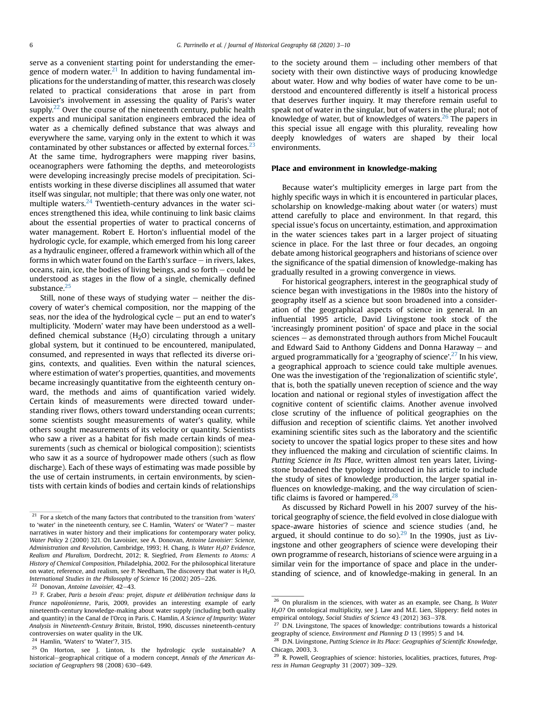serve as a convenient starting point for understanding the emergence of modern water.<sup>21</sup> In addition to having fundamental implications for the understanding of matter, this research was closely related to practical considerations that arose in part from Lavoisier's involvement in assessing the quality of Paris's water supply.<sup>22</sup> Over the course of the nineteenth century, public health experts and municipal sanitation engineers embraced the idea of water as a chemically defined substance that was always and everywhere the same, varying only in the extent to which it was contaminated by other substances or affected by external forces. $^{23}$ At the same time, hydrographers were mapping river basins, oceanographers were fathoming the depths, and meteorologists were developing increasingly precise models of precipitation. Scientists working in these diverse disciplines all assumed that water itself was singular, not multiple; that there was only one water, not multiple waters.<sup>24</sup> Twentieth-century advances in the water sciences strengthened this idea, while continuing to link basic claims about the essential properties of water to practical concerns of water management. Robert E. Horton's influential model of the hydrologic cycle, for example, which emerged from his long career as a hydraulic engineer, offered a framework within which all of the forms in which water found on the Earth's surface  $-$  in rivers, lakes, oceans, rain, ice, the bodies of living beings, and so forth  $-$  could be understood as stages in the flow of a single, chemically defined substance.<sup>25</sup>

Still, none of these ways of studying water  $-$  neither the discovery of water's chemical composition, nor the mapping of the seas, nor the idea of the hydrological cycle  $-$  put an end to water's multiplicity. 'Modern' water may have been understood as a welldefined chemical substance  $(H<sub>2</sub>O)$  circulating through a unitary global system, but it continued to be encountered, manipulated, consumed, and represented in ways that reflected its diverse origins, contexts, and qualities. Even within the natural sciences, where estimation of water's properties, quantities, and movements became increasingly quantitative from the eighteenth century onward, the methods and aims of quantification varied widely. Certain kinds of measurements were directed toward understanding river flows, others toward understanding ocean currents; some scientists sought measurements of water's quality, while others sought measurements of its velocity or quantity. Scientists who saw a river as a habitat for fish made certain kinds of measurements (such as chemical or biological composition); scientists who saw it as a source of hydropower made others (such as flow discharge). Each of these ways of estimating was made possible by the use of certain instruments, in certain environments, by scientists with certain kinds of bodies and certain kinds of relationships to the society around them  $-$  including other members of that society with their own distinctive ways of producing knowledge about water. How and why bodies of water have come to be understood and encountered differently is itself a historical process that deserves further inquiry. It may therefore remain useful to speak not of water in the singular, but of waters in the plural; not of knowledge of water, but of knowledges of waters.<sup>26</sup> The papers in this special issue all engage with this plurality, revealing how deeply knowledges of waters are shaped by their local environments.

#### Place and environment in knowledge-making

Because water's multiplicity emerges in large part from the highly specific ways in which it is encountered in particular places, scholarship on knowledge-making about water (or waters) must attend carefully to place and environment. In that regard, this special issue's focus on uncertainty, estimation, and approximation in the water sciences takes part in a larger project of situating science in place. For the last three or four decades, an ongoing debate among historical geographers and historians of science over the significance of the spatial dimension of knowledge-making has gradually resulted in a growing convergence in views.

For historical geographers, interest in the geographical study of science began with investigations in the 1980s into the history of geography itself as a science but soon broadened into a consideration of the geographical aspects of science in general. In an influential 1995 article, David Livingstone took stock of the 'increasingly prominent position' of space and place in the social sciences – as demonstrated through authors from Michel Foucault and Edward Said to Anthony Giddens and Donna Haraway  $-$  and argued programmatically for a 'geography of science'.<sup>27</sup> In his view, a geographical approach to science could take multiple avenues. One was the investigation of the 'regionalization of scientific style', that is, both the spatially uneven reception of science and the way location and national or regional styles of investigation affect the cognitive content of scientific claims. Another avenue involved close scrutiny of the influence of political geographies on the diffusion and reception of scientific claims. Yet another involved examining scientific sites such as the laboratory and the scientific society to uncover the spatial logics proper to these sites and how they influenced the making and circulation of scientific claims. In Putting Science in Its Place, written almost ten years later, Livingstone broadened the typology introduced in his article to include the study of sites of knowledge production, the larger spatial influences on knowledge-making, and the way circulation of scientific claims is favored or hampered. $^{28}$ 

As discussed by Richard Powell in his 2007 survey of the historical geography of science, the field evolved in close dialogue with space-aware histories of science and science studies (and, he argued, it should continue to do so). $^{29}$  In the 1990s, just as Livingstone and other geographers of science were developing their own programme of research, historians of science were arguing in a similar vein for the importance of space and place in the understanding of science, and of knowledge-making in general. In an

 $\overline{a^{21}}$  For a sketch of the many factors that contributed to the transition from 'waters' to 'water' in the nineteenth century, see C. Hamlin, 'Waters' or 'Water'? - master narratives in water history and their implications for contemporary water policy, Water Policy 2 (2000) 321. On Lavoisier, see A. Donovan, Antoine Lavoisier: Science, Administration and Revolution, Cambridge, 1993; H. Chang, Is Water H<sub>2</sub>0? Evidence, Realism and Pluralism, Dordrecht, 2012; R. Siegfried, From Elements to Atoms: A History of Chemical Composition, Philadelphia, 2002. For the philosophical literature on water, reference, and realism, see P. Needham, The discovery that water is  $H_2O$ , International Studies in the Philosophy of Science 16 (2002) 205-226.

 $22$  Donovan, Antoine Lavoisier, 42-43.

 $23$  F. Graber, Paris a besoin d'eau: projet, dispute et délibération technique dans la France napoléonienne, Paris, 2009, provides an interesting example of early nineteenth-century knowledge-making about water supply (including both quality and quantity) in the Canal de l'Orcq in Paris. C. Hamlin, A Science of Impurity: Water Analysis in Nineteenth-Century Britain, Bristol, 1990, discusses nineteenth-century controversies on water quality in the UK.

<sup>24</sup> Hamlin, 'Waters' to 'Water'?, 315.

<sup>25</sup> On Horton, see J. Linton, Is the hydrologic cycle sustainable? A historical-geographical critique of a modern concept, Annals of the American Association of Geographers 98 (2008) 630-649.

<sup>&</sup>lt;sup>26</sup> On pluralism in the sciences, with water as an example, see Chang, *Is Water*  $H<sub>2</sub>O$ ? On ontological multiplicity, see J. Law and M.E. Lien, Slippery: field notes in empirical ontology, Social Studies of Science 43 (2012) 363-378.

 $27$  D.N. Livingstone, The spaces of knowledge: contributions towards a historical geography of science, Environment and Planning D 13 (1995) 5 and 14.

 $^{28}$  D.N. Livingstone, Putting Science in Its Place: Geographies of Scientific Knowledge, Chicago, 2003, 3.

<sup>&</sup>lt;sup>29</sup> R. Powell, Geographies of science: histories, localities, practices, futures, Progress in Human Geography 31 (2007) 309-329.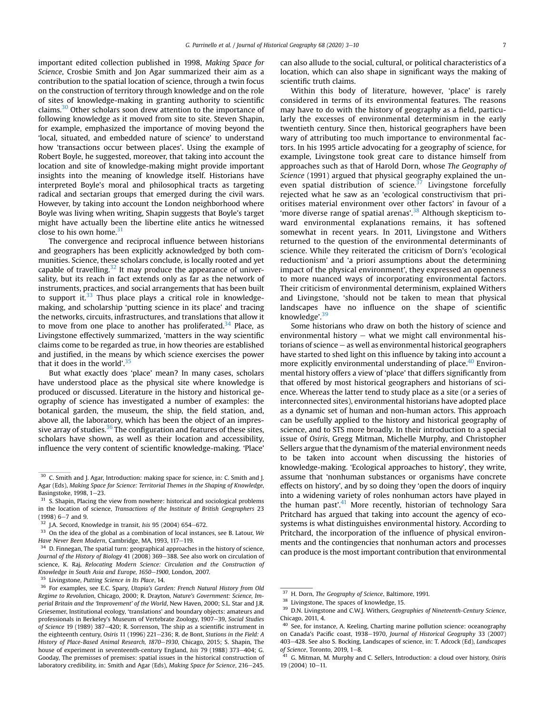important edited collection published in 1998, Making Space for Science, Crosbie Smith and Jon Agar summarized their aim as a contribution to the spatial location of science, through a twin focus on the construction of territory through knowledge and on the role of sites of knowledge-making in granting authority to scientific claims. $30$  Other scholars soon drew attention to the importance of following knowledge as it moved from site to site. Steven Shapin, for example, emphasized the importance of moving beyond the 'local, situated, and embedded nature of science' to understand how 'transactions occur between places'. Using the example of Robert Boyle, he suggested, moreover, that taking into account the location and site of knowledge-making might provide important insights into the meaning of knowledge itself. Historians have interpreted Boyle's moral and philosophical tracts as targeting radical and sectarian groups that emerged during the civil wars. However, by taking into account the London neighborhood where Boyle was living when writing, Shapin suggests that Boyle's target might have actually been the libertine elite antics he witnessed close to his own home.<sup>31</sup>

The convergence and reciprocal influence between historians and geographers has been explicitly acknowledged by both communities. Science, these scholars conclude, is locally rooted and yet capable of travelling. $32$  It may produce the appearance of universality, but its reach in fact extends only as far as the network of instruments, practices, and social arrangements that has been built to support it. $33$  Thus place plays a critical role in knowledgemaking, and scholarship 'putting science in its place' and tracing the networks, circuits, infrastructures, and translations that allow it to move from one place to another has proliferated.<sup>34</sup> Place, as Livingstone effectively summarized, 'matters in the way scientific claims come to be regarded as true, in how theories are established and justified, in the means by which science exercises the power that it does in the world'.<sup>35</sup>

But what exactly does 'place' mean? In many cases, scholars have understood place as the physical site where knowledge is produced or discussed. Literature in the history and historical geography of science has investigated a number of examples: the botanical garden, the museum, the ship, the field station, and, above all, the laboratory, which has been the object of an impressive array of studies. $36$  The configuration and features of these sites, scholars have shown, as well as their location and accessibility, influence the very content of scientific knowledge-making. 'Place'

can also allude to the social, cultural, or political characteristics of a location, which can also shape in significant ways the making of scientific truth claims.

Within this body of literature, however, 'place' is rarely considered in terms of its environmental features. The reasons may have to do with the history of geography as a field, particularly the excesses of environmental determinism in the early twentieth century. Since then, historical geographers have been wary of attributing too much importance to environmental factors. In his 1995 article advocating for a geography of science, for example, Livingstone took great care to distance himself from approaches such as that of Harold Dorn, whose The Geography of Science (1991) argued that physical geography explained the uneven spatial distribution of science. $37$  Livingstone forcefully rejected what he saw as an 'ecological constructivism that prioritises material environment over other factors' in favour of a 'more diverse range of spatial arenas'.<sup>38</sup> Although skepticism toward environmental explanations remains, it has softened somewhat in recent years. In 2011, Livingstone and Withers returned to the question of the environmental determinants of science. While they reiterated the criticism of Dorn's 'ecological reductionism' and 'a priori assumptions about the determining impact of the physical environment', they expressed an openness to more nuanced ways of incorporating environmental factors. Their criticism of environmental determinism, explained Withers and Livingstone, 'should not be taken to mean that physical landscapes have no influence on the shape of scientific knowledge'.<sup>39</sup>

Some historians who draw on both the history of science and environmental history  $-$  what we might call environmental historians of science  $-$  as well as environmental historical geographers have started to shed light on this influence by taking into account a more explicitly environmental understanding of place.<sup>40</sup> Environmental history offers a view of 'place' that differs significantly from that offered by most historical geographers and historians of science. Whereas the latter tend to study place as a site (or a series of interconnected sites), environmental historians have adopted place as a dynamic set of human and non-human actors. This approach can be usefully applied to the history and historical geography of science, and to STS more broadly. In their introduction to a special issue of Osiris, Gregg Mitman, Michelle Murphy, and Christopher Sellers argue that the dynamism of the material environment needs to be taken into account when discussing the histories of knowledge-making. 'Ecological approaches to history', they write, assume that 'nonhuman substances or organisms have concrete effects on history', and by so doing they 'open the doors of inquiry into a widening variety of roles nonhuman actors have played in the human past'.<sup>41</sup> More recently, historian of technology Sara Pritchard has argued that taking into account the agency of ecosystems is what distinguishes environmental history. According to Pritchard, the incorporation of the influence of physical environments and the contingencies that nonhuman actors and processes can produce is the most important contribution that environmental

 $\overline{30}$  C. Smith and J. Agar, Introduction: making space for science, in: C. Smith and J. Agar (Eds), Making Space for Science: Territorial Themes in the Shaping of Knowledge, Basingstoke,  $1998$ ,  $1-23$ .

 $31$  S. Shapin, Placing the view from nowhere: historical and sociological problems in the location of science, Transactions of the Institute of British Geographers 23  $(1998)$  6-7 and 9.

J.A. Secord, Knowledge in transit, Isis 95 (2004) 654-672.

 $33$  On the idea of the global as a combination of local instances, see B. Latour, We Have Never Been Modern, Cambridge, MA, 1993, 117-119.

<sup>&</sup>lt;sup>34</sup> D. Finnegan, The spatial turn: geographical approaches in the history of science, Journal of the History of Biology 41 (2008) 369-388. See also work on circulation of science, K. Raj, Relocating Modern Science: Circulation and the Construction of Knowledge in South Asia and Europe, 1650-1900, London, 2007.

Livingstone, Putting Science in Its Place, 14.

<sup>&</sup>lt;sup>36</sup> For examples, see E.C. Spary, Utopia's Garden: French Natural History from Old Regime to Revolution, Chicago, 2000; R. Drayton, Nature's Government: Science, Imperial Britain and the 'Improvement' of the World, New Haven, 2000; S.L. Star and J.R. Griesemer, Institutional ecology, 'translations' and boundary objects: amateurs and professionals in Berkeley's Museum of Vertebrate Zoology, 1907-39, Social Studies of Science 19 (1989)  $387-420$ ; R. Sorrenson, The ship as a scientific instrument in the eighteenth century, Osiris 11 (1996) 221-236; R. de Bont, Stations in the Field: A History of Place-Based Animal Research, 1870-1930, Chicago, 2015; S. Shapin, The house of experiment in seventeenth-century England, *Isis* 79 (1988) 373–404; G. Gooday, The premisses of premises: spatial issues in the historical construction of laboratory credibility, in: Smith and Agar (Eds), Making Space for Science, 216-245.

<sup>37</sup> H. Dorn, The Geography of Science, Baltimore, 1991.

<sup>38</sup> Livingstone, The spaces of knowledge, 15.

 $39$  D.N. Livingstone and C.W.J. Withers, Geographies of Nineteenth-Century Science, Chicago, 2011, 4.

 $40$  See, for instance, A. Keeling, Charting marine pollution science: oceanography on Canada's Pacific coast, 1938-1970, Journal of Historical Geography 33 (2007) 403-428. See also S. Bocking, Landscapes of science, in: T. Adcock (Ed), Landscapes of Science, Toronto, 2019, 1-8.

 $41$  G. Mitman, M. Murphy and C. Sellers, Introduction: a cloud over history, Osiris 19 (2004) 10-11.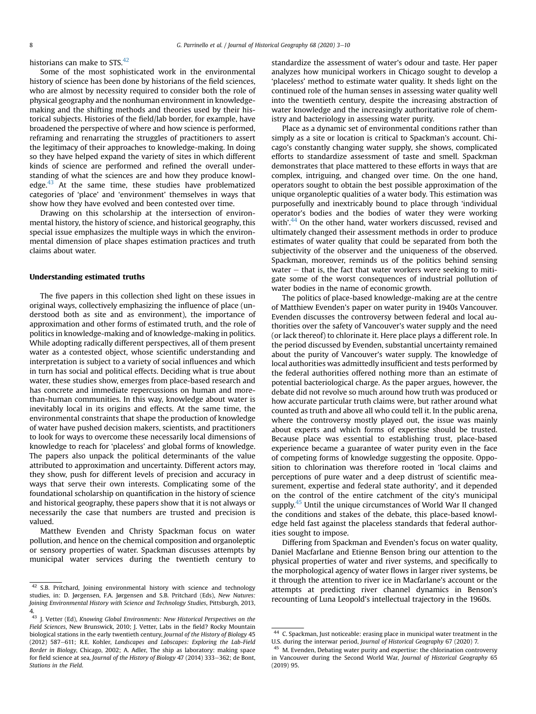historians can make to STS.<sup>42</sup>

Some of the most sophisticated work in the environmental history of science has been done by historians of the field sciences, who are almost by necessity required to consider both the role of physical geography and the nonhuman environment in knowledgemaking and the shifting methods and theories used by their historical subjects. Histories of the field/lab border, for example, have broadened the perspective of where and how science is performed, reframing and renarrating the struggles of practitioners to assert the legitimacy of their approaches to knowledge-making. In doing so they have helped expand the variety of sites in which different kinds of science are performed and refined the overall understanding of what the sciences are and how they produce knowledge. $43$  At the same time, these studies have problematized categories of 'place' and 'environment' themselves in ways that show how they have evolved and been contested over time.

Drawing on this scholarship at the intersection of environmental history, the history of science, and historical geography, this special issue emphasizes the multiple ways in which the environmental dimension of place shapes estimation practices and truth claims about water.

#### Understanding estimated truths

The five papers in this collection shed light on these issues in original ways, collectively emphasizing the influence of place (understood both as site and as environment), the importance of approximation and other forms of estimated truth, and the role of politics in knowledge-making and of knowledge-making in politics. While adopting radically different perspectives, all of them present water as a contested object, whose scientific understanding and interpretation is subject to a variety of social influences and which in turn has social and political effects. Deciding what is true about water, these studies show, emerges from place-based research and has concrete and immediate repercussions on human and morethan-human communities. In this way, knowledge about water is inevitably local in its origins and effects. At the same time, the environmental constraints that shape the production of knowledge of water have pushed decision makers, scientists, and practitioners to look for ways to overcome these necessarily local dimensions of knowledge to reach for 'placeless' and global forms of knowledge. The papers also unpack the political determinants of the value attributed to approximation and uncertainty. Different actors may, they show, push for different levels of precision and accuracy in ways that serve their own interests. Complicating some of the foundational scholarship on quantification in the history of science and historical geography, these papers show that it is not always or necessarily the case that numbers are trusted and precision is valued.

Matthew Evenden and Christy Spackman focus on water pollution, and hence on the chemical composition and organoleptic or sensory properties of water. Spackman discusses attempts by municipal water services during the twentieth century to standardize the assessment of water's odour and taste. Her paper analyzes how municipal workers in Chicago sought to develop a 'placeless' method to estimate water quality. It sheds light on the continued role of the human senses in assessing water quality well into the twentieth century, despite the increasing abstraction of water knowledge and the increasingly authoritative role of chemistry and bacteriology in assessing water purity.

Place as a dynamic set of environmental conditions rather than simply as a site or location is critical to Spackman's account. Chicago's constantly changing water supply, she shows, complicated efforts to standardize assessment of taste and smell. Spackman demonstrates that place mattered to these efforts in ways that are complex, intriguing, and changed over time. On the one hand, operators sought to obtain the best possible approximation of the unique organoleptic qualities of a water body. This estimation was purposefully and inextricably bound to place through 'individual operator's bodies and the bodies of water they were working with'.<sup>44</sup> On the other hand, water workers discussed, revised and ultimately changed their assessment methods in order to produce estimates of water quality that could be separated from both the subjectivity of the observer and the uniqueness of the observed. Spackman, moreover, reminds us of the politics behind sensing water  $-$  that is, the fact that water workers were seeking to mitigate some of the worst consequences of industrial pollution of water bodies in the name of economic growth.

The politics of place-based knowledge-making are at the centre of Matthiew Evenden's paper on water purity in 1940s Vancouver. Evenden discusses the controversy between federal and local authorities over the safety of Vancouver's water supply and the need (or lack thereof) to chlorinate it. Here place plays a different role. In the period discussed by Evenden, substantial uncertainty remained about the purity of Vancouver's water supply. The knowledge of local authorities was admittedly insufficient and tests performed by the federal authorities offered nothing more than an estimate of potential bacteriological charge. As the paper argues, however, the debate did not revolve so much around how truth was produced or how accurate particular truth claims were, but rather around what counted as truth and above all who could tell it. In the public arena, where the controversy mostly played out, the issue was mainly about experts and which forms of expertise should be trusted. Because place was essential to establishing trust, place-based experience became a guarantee of water purity even in the face of competing forms of knowledge suggesting the opposite. Opposition to chlorination was therefore rooted in 'local claims and perceptions of pure water and a deep distrust of scientific measurement, expertise and federal state authority', and it depended on the control of the entire catchment of the city's municipal supply.<sup>45</sup> Until the unique circumstances of World War II changed the conditions and stakes of the debate, this place-based knowledge held fast against the placeless standards that federal authorities sought to impose.

Differing from Spackman and Evenden's focus on water quality, Daniel Macfarlane and Etienne Benson bring our attention to the physical properties of water and river systems, and specifically to the morphological agency of water flows in larger river systems, be it through the attention to river ice in Macfarlane's account or the attempts at predicting river channel dynamics in Benson's recounting of Luna Leopold's intellectual trajectory in the 1960s.

<sup>42</sup> S.B. Pritchard, Joining environmental history with science and technology studies, in: D. Jørgensen, F.A. Jørgensen and S.B. Pritchard (Eds), New Natures: Joining Environmental History with Science and Technology Studies, Pittsburgh, 2013, 4.

<sup>43</sup> J. Vetter (Ed), Knowing Global Environments: New Historical Perspectives on the Field Sciences, New Brunswick, 2010; J. Vetter, Labs in the field? Rocky Mountain biological stations in the early twentieth century, Journal of the History of Biology 45 (2012) 587-611; R.E. Kohler, Landscapes and Labscapes: Exploring the Lab-Field Border in Biology, Chicago, 2002; A. Adler, The ship as laboratory: making space for field science at sea, Journal of the History of Biology 47 (2014) 333-362; de Bont, Stations in the Field.

<sup>44</sup> C. Spackman, Just noticeable: erasing place in municipal water treatment in the U.S. during the interwar period, Journal of Historical Geography 67 (2020) 7.

<sup>&</sup>lt;sup>45</sup> M. Evenden, Debating water purity and expertise: the chlorination controversy in Vancouver during the Second World War, Journal of Historical Geography 65 (2019) 95.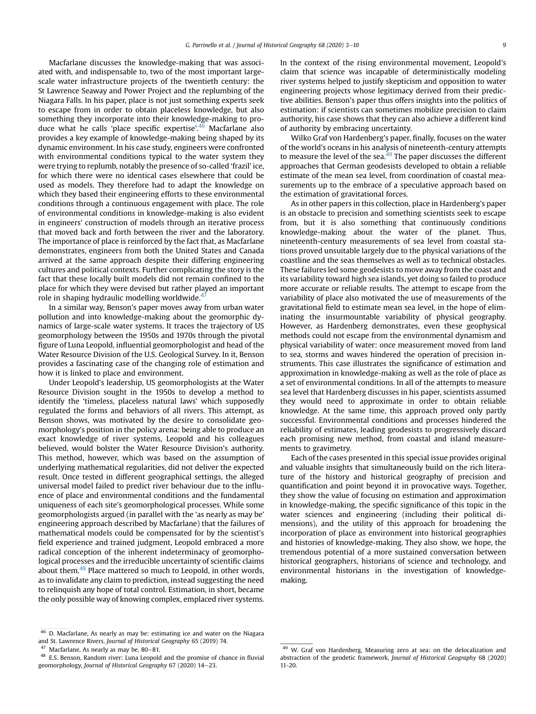Macfarlane discusses the knowledge-making that was associated with, and indispensable to, two of the most important largescale water infrastructure projects of the twentieth century: the St Lawrence Seaway and Power Project and the replumbing of the Niagara Falls. In his paper, place is not just something experts seek to escape from in order to obtain placeless knowledge, but also something they incorporate into their knowledge-making to produce what he calls 'place specific expertise'.<sup>46</sup> Macfarlane also provides a key example of knowledge-making being shaped by its dynamic environment. In his case study, engineers were confronted with environmental conditions typical to the water system they were trying to replumb, notably the presence of so-called 'frazil' ice, for which there were no identical cases elsewhere that could be used as models. They therefore had to adapt the knowledge on which they based their engineering efforts to these environmental conditions through a continuous engagement with place. The role of environmental conditions in knowledge-making is also evident in engineers' construction of models through an iterative process that moved back and forth between the river and the laboratory. The importance of place is reinforced by the fact that, as Macfarlane demonstrates, engineers from both the United States and Canada arrived at the same approach despite their differing engineering cultures and political contexts. Further complicating the story is the fact that these locally built models did not remain confined to the place for which they were devised but rather played an important role in shaping hydraulic modelling worldwide.<sup>47</sup>

In a similar way, Benson's paper moves away from urban water pollution and into knowledge-making about the geomorphic dynamics of large-scale water systems. It traces the trajectory of US geomorphology between the 1950s and 1970s through the pivotal figure of Luna Leopold, influential geomorphologist and head of the Water Resource Division of the U.S. Geological Survey. In it, Benson provides a fascinating case of the changing role of estimation and how it is linked to place and environment.

Under Leopold's leadership, US geomorphologists at the Water Resource Division sought in the 1950s to develop a method to identify the 'timeless, placeless natural laws' which supposedly regulated the forms and behaviors of all rivers. This attempt, as Benson shows, was motivated by the desire to consolidate geomorphology's position in the policy arena: being able to produce an exact knowledge of river systems, Leopold and his colleagues believed, would bolster the Water Resource Division's authority. This method, however, which was based on the assumption of underlying mathematical regularities, did not deliver the expected result. Once tested in different geographical settings, the alleged universal model failed to predict river behaviour due to the influence of place and environmental conditions and the fundamental uniqueness of each site's geomorphological processes. While some geomorphologists argued (in parallel with the 'as nearly as may be' engineering approach described by Macfarlane) that the failures of mathematical models could be compensated for by the scientist's field experience and trained judgment, Leopold embraced a more radical conception of the inherent indeterminacy of geomorphological processes and the irreducible uncertainty of scientific claims about them.<sup>48</sup> Place mattered so much to Leopold, in other words, as to invalidate any claim to prediction, instead suggesting the need to relinquish any hope of total control. Estimation, in short, became the only possible way of knowing complex, emplaced river systems.

In the context of the rising environmental movement, Leopold's claim that science was incapable of deterministically modeling river systems helped to justify skepticism and opposition to water engineering projects whose legitimacy derived from their predictive abilities. Benson's paper thus offers insights into the politics of estimation: if scientists can sometimes mobilize precision to claim authority, his case shows that they can also achieve a different kind of authority by embracing uncertainty.

Wilko Graf von Hardenberg's paper, finally, focuses on the water of the world's oceans in his analysis of nineteenth-century attempts to measure the level of the sea. $49$  The paper discusses the different approaches that German geodesists developed to obtain a reliable estimate of the mean sea level, from coordination of coastal measurements up to the embrace of a speculative approach based on the estimation of gravitational forces.

As in other papers in this collection, place in Hardenberg's paper is an obstacle to precision and something scientists seek to escape from, but it is also something that continuously conditions knowledge-making about the water of the planet. Thus, nineteenth-century measurements of sea level from coastal stations proved unsuitable largely due to the physical variations of the coastline and the seas themselves as well as to technical obstacles. These failures led some geodesists to move away from the coast and its variability toward high sea islands, yet doing so failed to produce more accurate or reliable results. The attempt to escape from the variability of place also motivated the use of measurements of the gravitational field to estimate mean sea level, in the hope of eliminating the insurmountable variability of physical geography. However, as Hardenberg demonstrates, even these geophysical methods could not escape from the environmental dynamism and physical variability of water: once measurement moved from land to sea, storms and waves hindered the operation of precision instruments. This case illustrates the significance of estimation and approximation in knowledge-making as well as the role of place as a set of environmental conditions. In all of the attempts to measure sea level that Hardenberg discusses in his paper, scientists assumed they would need to approximate in order to obtain reliable knowledge. At the same time, this approach proved only partly successful. Environmental conditions and processes hindered the reliability of estimates, leading geodesists to progressively discard each promising new method, from coastal and island measurements to gravimetry.

Each of the cases presented in this special issue provides original and valuable insights that simultaneously build on the rich literature of the history and historical geography of precision and quantification and point beyond it in provocative ways. Together, they show the value of focusing on estimation and approximation in knowledge-making, the specific significance of this topic in the water sciences and engineering (including their political dimensions), and the utility of this approach for broadening the incorporation of place as environment into historical geographies and histories of knowledge-making. They also show, we hope, the tremendous potential of a more sustained conversation between historical geographers, historians of science and technology, and environmental historians in the investigation of knowledgemaking.

<sup>46</sup> D. Macfarlane, As nearly as may be: estimating ice and water on the Niagara and St. Lawrence Rivers, Journal of Historical Geography 65 (2019) 74.

<sup>47</sup> Macfarlane, As nearly as may be,  $80-81$ .<br>48 E.S. Penson, Bandom river: Juna Joopele

<sup>48</sup> E.S. Benson, Random river: Luna Leopold and the promise of chance in fluvial geomorphology, Journal of Historical Geography 67 (2020) 14-23.

<sup>&</sup>lt;sup>49</sup> W. Graf von Hardenberg, Measuring zero at sea: on the delocalization and abstraction of the geodetic framework, Journal of Historical Geography 68 (2020) 11-20.